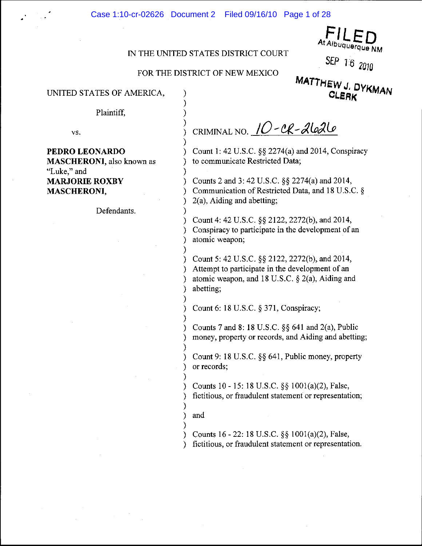Case 1:10-cr-02626 Document 2 Filed 09/16/10 Page 1 of 28

At Albuquerque NM

**SEP** 16 <sup>2010</sup>

# IN THE UNITED STATES DISTRICT COURT

## FOR THE DISTRICT OF NEW MEXICO

) ) )

) ) ) ) ) ) ) ) ) ) ) ) ) ) ) ) ) ) ) ) ) ) ) ) ) ) ) ) ) ) ) )

UNITED STATES OF AMERICA, ) MATTHEW J. DYKMAN **CLERI(** 

Plaintiff,

vs.

•

**PEDRO LEONARDO MASCHERONI,** also known as "Luke," and **MARJORIE ROXBY MASCHERONI,** 

Defendants.

CRIMINAL NO.  $10 - CR - d$ leale

Count I: 42 U.S.c. §§ 2274(a) and 2014, Conspiracy to communicate Restricted Data;

Counts 2 and 3: 42 U.S.C. §§ 2274(a) and 2014, Communication of Restricted Data, and 18 U.S.C. § 2(a), Aiding and abetting;

Count 4: 42 U.S.c. §§ 2122, 2272(b), and 2014, Conspiracy to participate in the development of an atomic weapon;

Count 5: 42 U.S.C. §§ 2122, 2272(b), and 2014, Attempt to participate in the development of an atomic weapon, and 18 U.S.C. § 2(a), Aiding and abetting;

Count 6: 18 U.S.C. § 371, Conspiracy;

Counts 7 and 8: 18 U.S.C. §§ 641 and 2(a), Public money, property or records, and Aiding and abetting;

Count 9: 18 U.S.C. §§ 641, Public money, property or records;

Counts 10 - 15: 18 U.S.C. §§ 1001(a)(2), False, fictitious, or fraudulent statement or representation;

and

Counts 16 - 22: 18 U.S.C. §§ 1001(a)(2), False, fictitious, or fraudulent statement or representation.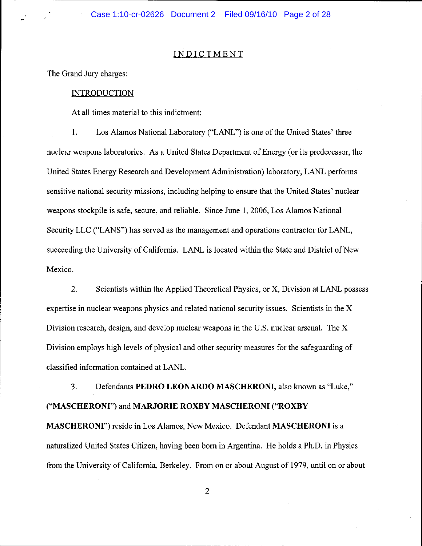## INDICTMENT

The Grand Jury charges:

#### **INTRODUCTION**

At all times material to this indictment:

I. Los Alamos National Laboratory ("LANL") is one of the United States' three nuclear weapons laboratories. As a United States Department of Energy (or its predecessor, the United States Energy Research and Development Administration) laboratory, LANL performs sensitive national security missions, including helping to ensure that the United States' nuclear weapons stockpile is safe, secure, and reliable. Since June 1,2006, Los Alamos National Security LLC ("LANS") has served as the management and operations contractor for LANL, succeeding the University of California. LANL is located within the State and District of New Mexico.

2. Scientists within the Applied Theoretical Physics, or X, Division at LANL possess expertise in nuclear weapons physics and related national security issues. Scientists in the X Division research, design, and develop nuclear weapons in the U.S. nuclear arsenal. The X Division employs high levels of physical and other security measures for the safeguarding of classified information contained at LANL.

3. Defendants **PEDRO LEONARDO MASCHERONI,** also known as "Luke," ("MASCHERONI") and **MARJORIE ROXBY MASCHERONI** ("ROXBY MASCHERONI") reside in Los Alamos, New Mexico. Defendant **MASCHERONI** is a

naturalized United States Citizen, having been born in Argentina. He holds a Ph.D. in Physics from the University of California, Berkeley. From on or about August of 1979, until on or about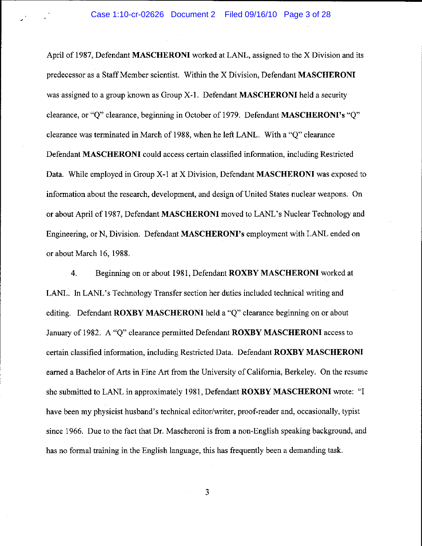April of 1987, Defendant **MASCHERONI** worked at LANL, assigned to the X Division and its predecessor as a Staff Member scientist. Within the X Division, Defendant **MASCHERONI**  was assigned to a group known as Group X-I. Defendant **MASCHERONI** held a security clearance, or "Q" clearance, beginning in October of 1979. Defendant **MASCHERONI's** "Q" clearance was terminated in March of 1988, when he left LANL. With a "Q" clearance Defendant **MASCHERONI** could access certain classified information, including Restricted Data. While employed in Group X-I at X Division, Defendant **MASCHERONI** was exposed to information about the research, development, and design of United States nuclear weapons. On or about April of 1987, Defendant **MASCHERONI** moved to LANL's Nuclear Technology and Engineering, or N, Division. Defendant **MASCHERONI's** employment with LANL ended on or about March 16, 1988.

4. Beginning on or about 1981, Defendant **ROXBY MASCHERONI** worked at LANL. In LANL's Technology Transfer section her duties included technical writing and editing. Defendant **ROXBY MASCHERONI** held a "Q" clearance beginning on or about January of 1982. A "Q" clearance permitted Defendant **ROXBY MASCHERONI** access to certain classified information, including Restricted Data. Defendant **ROXBY MASCHERONI**  earned a Bachelor of Arts in Fine Art from the University of California, Berkeley. On the resume she submitted to LANL in approximately 1981, Defendant **ROXBY MASCHERONI** wrote: "I have been my physicist husband's technical editor/writer, proof-reader and, occasionally, typist since 1966. Due to the fact that Dr. Mascheroni is from a non-English speaking background, and has no formal training in the English language, this has frequently been a demanding task.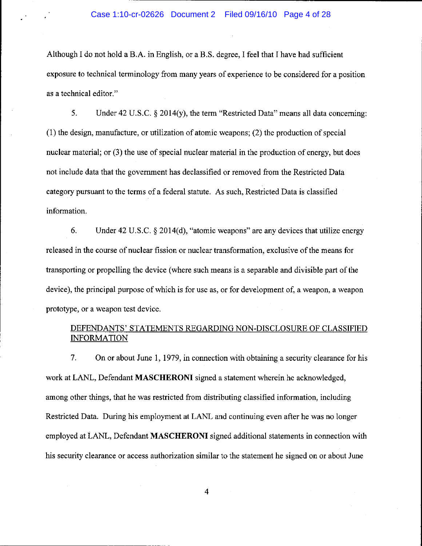Although I do not hold a B.A. in English, or a B.S. degree, I feel that I have had sufficient exposure to technical terminology from many years of experience to be considered for a position as a technical editor."

5. Under 42 U.S.C.  $\S 2014(y)$ , the term "Restricted Data" means all data concerning: (1) the design, manufacture, or utilization of atomic weapons; (2) the production of special nuclear material; or (3) the use of special nuclear material in the production of energy, but does not include data that the government has declassified or removed from the Restricted Data category pursuant to the terms of a federal statute. As such, Restricted Data is classified information.

6. Under 42 U.S.C. § 2014(d), "atomic weapons" are any devices that utilize energy released in the course of nuclear fission or nuclear transformation, exclusive of the means for transporting or propelling the device (where such means is a separable and divisible part of the device), the principal purpose of which is for use as, or for development of, a weapon, a weapon prototype, or a weapon test device.

# DEFENDANTS ' STATEMENTS REGARDING NON-DISCLOSURE OF CLASSIFIED INFORMATION

7. On or about June I, 1979, in connection with obtaining a security clearance for his work at LANL, Defendant **MASCHERONI** signed a statement wherein he acknowledged, among other things, that he was restricted from distributing classified information, including Restricted Data. During his employment at LANL and continuing even after he was no longer employed at LANL, Defendant **MASCHERONI** signed additional statements in connection with his security clearance or access authorization similar to the statement he signed on or about June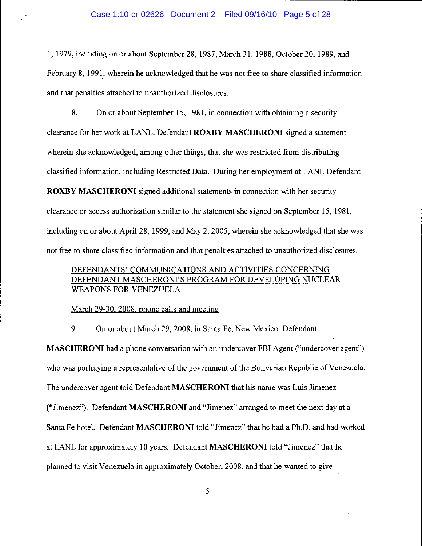1,1979, including on or about September 28,1987, March 31,1988, October 20,1989, and February 8, 1991, wherein he acknowledged that he was not free to share classified information and that penalties attached to unauthorized disclosures.

8. On or about September IS, 1981, in connection with obtaining a security clearance for her work at LANL, Defendant **ROXBY MASCHERONI** signed a statement wherein she acknowledged, among other things, that she was restricted from distributing classified information, including Restricted Data. During her employment at LANL Defendant **ROXBY MASCHERONI** signed additional statements in connection with her security

clearance or access authorization similar to the statement she signed on September IS, 1981, including on or about April 28, 1999, and May 2, 2005, wherein she acknowledged that she was not free to share classified information and that penalties attached to unauthorized disclosures.

# DEFENDANTS' COMMUNICATIONS AND ACTIVITIES CONCERNING DEFENDANT MASCHERONI'S PROGRAM FOR DEVELOPING NUCLEAR WEAPONS FOR VENEZUELA

# March 29-30, 2008, phone calls and meeting

9. On or about March 29,2008, in Santa Fe, New Mexico, Defendant

**MASCHERONI** had a phone conversation with an undercover FBI Agent ("undercover agent") who was portraying a representative of the government of the Bolivarian Republic of Venezuela. The undercover agent told Defendant **MASCHERONI** that his name was Luis Jimenez ("Jimenez"). Defendant **MASCHERONI** and "Jimenez" arranged to meet the next day at a Santa Fe hotel. Defendant **MASCHERONI** told "Jimenez" that he had a Ph.D. and had worked at LANL for approximately 10 years. Defendant **MASCHERONI** told "Jimenez" that he plarmed to visit Venezuela in approximately October, 2008, and that he wanted to give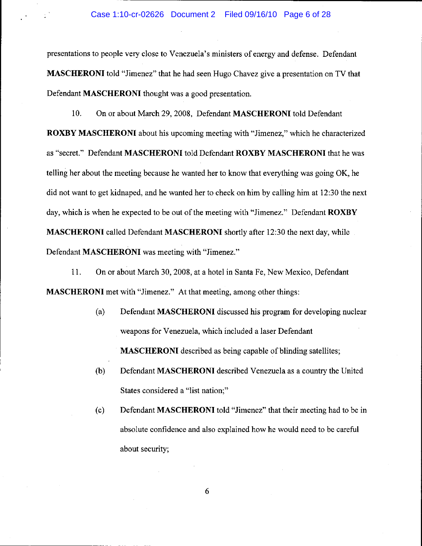presentations to people very close to Venezuela's ministers of energy and defense. Defendant **MASCHERONI** told "Jimenez" that he had seen Hugo Chavez give a presentation on TV that Defendant **MASCHERONI** thought was a good presentation.

10. **On** or about March 29, 2008, Defendant **MASCHERONI** told Defendant **ROXBY MASCHERONI** about his upcoming meeting with "Jimenez," which he characterized as "secret." Defendant **MASCHERONI** told Defendant **ROXBY MASCHERONI** that he was telling her about the meeting because he wanted her to know that everything was going **OK,** he did not want to get kidnaped, and he wanted her to check on him by calling him at 12:30 the next day, which is when he expected to be out of the meeting with "Jimenez." Defendant **ROXBY MASCHERONI** called Defendant **MASCHERONI** shortly after 12:30 the next day, while Defendant **MASCHERONI** was meeting with "Jimenez."

**II.** On or about March 30, 2008, at a hotel in Santa Fe, New Mexico, Defendant **MASCHERONI** met with "Jimenez." At that meeting, among other things:

> (a) Defendant **MASCHERONI** discussed his program for developing nuclear weapons for Venezuela, which included a laser Defendant

**MASCHERONI** described as being capable of blinding satellites;

- (b) Defendant **MASCHERONI** described Venezuela as a country the United States considered a "list nation;"
- (c) Defendant **MASCHERONI** told "Jimenez" that their meeting had to be in absolute confidence and also explained how he would need to be careful about security;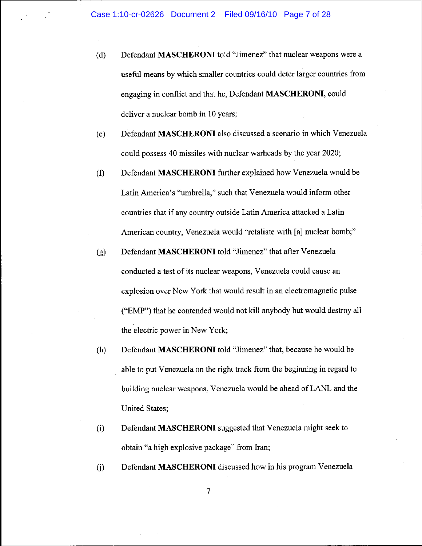- (d) Defendant **MASCHERONI** told "Jimenez" that nuclear weapons were a useful means by which smaller countries could deter larger countries from engaging in conflict and that he, Defendant **MASCHERONI,** could deliver a nuclear bomb in 10 years;
- (e) Defendant **MASCHERONI** also discussed a scenario in which Venezuela could possess 40 missiles with nuclear warheads by the year 2020;
- (f) Defendant **MASCHERONI** further explained how Venezuela would be Latin America's "umbrella," such that Venezuela would inform other countries that if any country outside Latin America attacked a Latin American country, Venezuela would "retaliate with [a] nuclear bomb;"
- (g) Defendant **MASCHERONI** told "Jimenez" that after Venezuela conducted a test of its nuclear weapons, Venezuela could cause an explosion over New York that would result in an electromagnetic pulse ("EMP") that he contended would not kill anybody but would destroy all the electric power in New York;
- (h) Defendant **MASCHERONI** told "Jimenez" that, because he would be able to put Venezuela on the right track from the beginning in regard to building nuclear weapons, Venezuela would be ahead of LANL and the United States;
- (i) Defendant **MASCHERONI** suggested that Venezuela might seek to obtain "a high explosive package" from Iran;
- U) Defendant **MASCHERONI** discussed how in his program Venezuela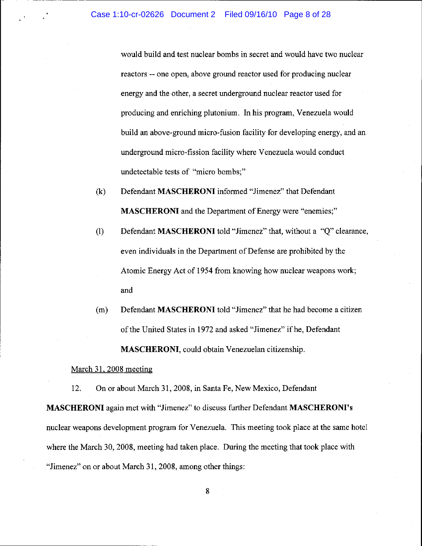would build and test nuclear bombs in secret and would have two nuclear reactors -- one open, above ground reactor used for producing nuclear energy and the other, a secret underground nuclear reactor used for producing and emiching plutonium. In his program, Venezuela would build an above-ground micro-fusion facility for developing energy, and an underground micro-fission facility where Venezuela would conduct undetectable tests of "micro bombs;"

- (k) Defendant **MASCHERONI** informed "Jimenez" that Defendant **MASCHERONI** and the Department of Energy were "enemies;"
- (I) Defendant **MASCHERONI** told "Jimenez" that, without a "Q" clearance, even individuals in the Department of Defense are prohibited by the Atomic Energy Act of 1954 from knowing how nuclear weapons work; and
- (m) Defendant **MASCHERONI** told "Jimenez" that he had become a citizen of the United States in 1972 and asked "Jimenez" ifhe, Defendant **MASCHERONI,** could obtain Venezuelan citizenship.

March 31. 2008 meeting

12. On or about March 31, 2008, in Santa Fe, New Mexico, Defendant

**MASCHERONI** again met with "Jimenez" to discuss further Defendant **MASCHERONl's**  nuclear weapons development program for Venezuela. This meeting took place at the same hotel where the March 30, 2008, meeting had taken place. During the meeting that took place with "Jimenez" on or about March 31, 2008, among other things: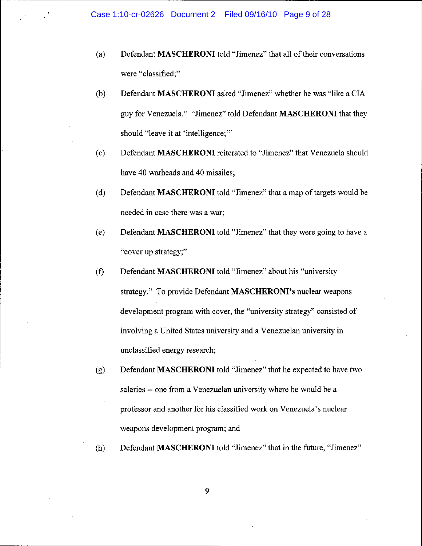- (a) Defendant **MASCHERONI** told "Jimenez" that all of their conversations were "classified;"
- (b) Defendant **MASCHERONI** asked "Jimenez" whether he was "like a CIA guy for Venezuela." "Jimenez" told Defendant **MASCHERONI** that they should "leave it at 'intelligence;"
- (c) Defendant **MASCHERONI** reiterated to "Jimenez" that Venezuela should have 40 warheads and 40 missiles;
- (d) Defendant **MASCHERONI** told "Jimenez" that a map of targets would be needed **in** case there was a war;
- (e) Defendant **MASCHERONI** told "Jimenez" that they were going to have a "cover up strategy;"
- (f) Defendant **MASCHERONI** told "Jimenez" about his "university strategy." To provide Defendant **MASCHERONl's** nuclear weapons development program with cover, the "university strategy" consisted of involving a United States university and a Venezuelan university in unclassified energy research;
- (g) Defendant **MASCHERONI** told "Jimenez" that he expected to have two salaries -- one from a Venezuelan university where he would be a professor and another for his classified work on Venezuela's nuclear weapons development program; and
- (h) Defendant **MASCHERONI** told "Jimenez" that in the future, "Jimenez"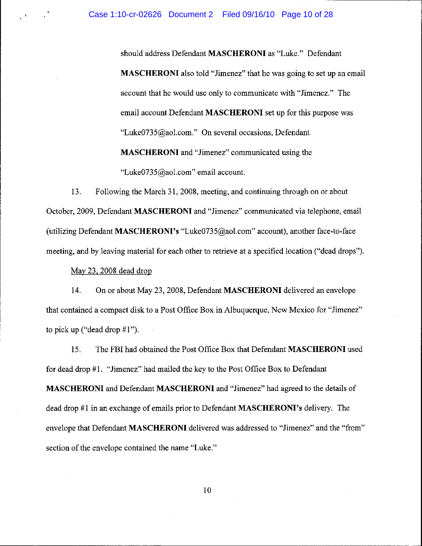should address Defendant **MASCHERONI** as "Luke." Defendant **MASCHERONI** also told "Jimenez" that he was going to set up an email account that he would use only to communicate with "Jimenez." The email account Defendant **MASCHERONI** set up for this purpose was "Luke0735@aol.com." On several occasions, Defendant **MASCHERONI** and "Jimenez" communicated using the "Luke0735@aol.com" email account.

13. Following the March 31,2008, meeting, and continuing through on or about October, 2009, Defendant **MASCHERONI** and "Jimenez" communicated via telephone, email (utilizing Defendant **MASCHERONl's** "Luke0735@aol.com" account), another face-to-face meeting, and by leaving material for each other to retrieve at a specified location ("dead drops").

May 23, 2008 dead drop

14. On or about May 23,2008, Defendant **MASCHERONI** delivered an envelope that contained a compact disk to a Post Office Box in Albuquerque, New Mexico for "Jimenez" to pick up ("dead drop  $#1$ ").

15. The FBI had obtained the Post Office Box that Defendant **MASCHERONI** used for dead drop  $#1$ . "Jimenez" had mailed the key to the Post Office Box to Defendant **MASCHERONI** and Defendant **MASCHERONI** and "Jimenez" had agreed to the details of dead drop #1 in an exchange of emails prior to Defendant **MASCHERONI's** delivery. The envelope that Defendant **MASCHERONI** delivered was addressed to "Jimenez" and the "from" section of the envelope contained the name "Luke."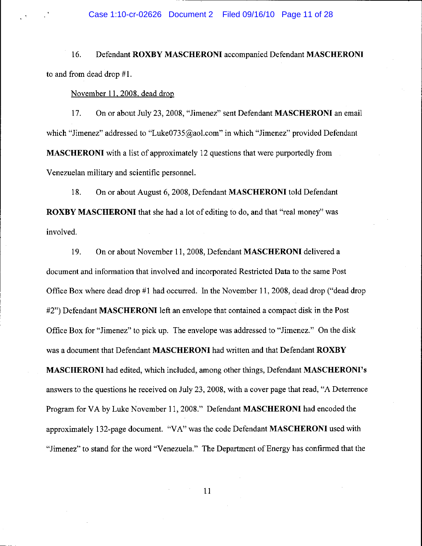## Case 1:10-cr-02626 Document 2 Filed 09/16/10 Page 11 of 28

16. Defendant **ROXBY MASCHERONI** accompanied Defendant **MASCHERONI**  to and from dead drop  $#1$ .

#### November 11. 2008. dead drop

17. On or about July 23,2008, "Jimenez" sent Defendant **MASCHERONI** an email which "Jimenez" addressed to "Luke0735@aol.com" in which "Jimenez" provided Defendant **MASCHERONI** with a list of approximately 12 questions that were purportedly from Venezuelan military and scientific personnel.

18. **On** or about August 6, 2008, Defendant **MASCHERONI** told Defendant **ROXBY MASCHERONI** that she had a lot of editing to do, and that "real money" was involved.

19. On or about November 11,2008, Defendant **MASCHERONI** delivered a document and information that involved and incorporated Restricted Data to the same Post Office Box where dead drop #1 had occurred. In the November 11,2008, dead drop ("dead drop #2") Defendant **MASCHERONI** left an envelope that contained a compact disk in the Post Office Box for "Jimenez" to pick up. The envelope was addressed to "Jimenez." On the disk was a document that Defendant **MASCHERONI** had written and that Defendant **ROXBY MASCHERONI** had edited, which included, among other things, Defendant **MASCHERONl's**  answers to the questions he received on July 23, 2008, with a cover page that read, "A Deterrence Program for VA by Luke November 11,2008." Defendant **MASCHERONI** had encoded the approximately 132-page document. "V A" was the code Defendant **MASCHERONI** used with "Jimenez" to stand for the word "Venezuela." The Department of Energy has confirmed that the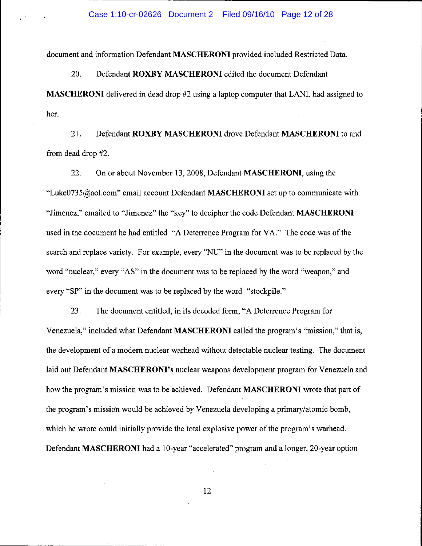document and information Defendant **MASCHERONI** provided included Restricted Data.

20. Defendant **ROXBY MASCHERONI** edited the document Defendant

**MASCHERONI** delivered in dead drop #2 using a laptop computer that LANL had assigned to her.

21. Defendant **ROXBY MASCHERONI** drove Defendant **MASCHERONI** to and from dead drop #2.

22. **On** or about November 13, 2008, Defendant **MASCHERONI,** using the "Luke0735@aol.com" email account Defendant **MASCHERONI** set up to communicate with "Jimenez," emailed to "Jimenez" the "key" to decipher the code Defendant **MASCHERONI**  used in the document he had entitled "A Deterrence Program for VA." The code was of the search and replace variety. For example, every "NU" in the document was to be replaced by the word "nuclear," every "AS" in the document was to be replaced by the word "weapon," and every "SP" in the document was to be replaced by the word "stockpile."

23. The document entitled, in its decoded form, "A Deterrence Program for Venezuela," included what Defendant **MASCHERONI** called the program's "mission," that is, the development of a modern nuclear warhead without detectable nuclear testing. The document laid out Defendant **MASCHERONl's** nuclear weapons development program for Venezuela and how the program's mission was to be achieved. Defendant **MASCHERONI** wrote that part of the program's mission would be achieved by Venezuela developing a primary/atomic bomb, which he wrote could initially provide the total explosive power of the program's warhead. Defendant **MASCHERONI** had a 10-year "accelerated" program and a longer, 20-year option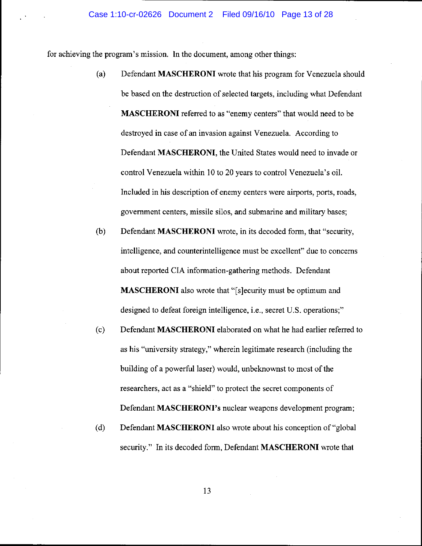for achieving the program's mission. In the document, among other things:

- (a) Defendant **MASCHERONI** wrote that his program for Venezuela should be based on the destruction of selected targets, including what Defendant **MASCHERONI** referred to as "enemy centers" that would need to be destroyed in case of an invasion against Venezuela. According to Defendant **MASCHERONI,** the United States would need to invade or control Venezuela within 10 to 20 years to control Venezuela's oil. Included in his description of enemy centers were airports, ports, roads, government centers, missile silos, and submarine and military bases;
- (b) Defendant **MASCHERONI** wrote, in its decoded form, that "security, intelligence, and counterintelligence must be excellent" due to concerns about reported CIA information-gathering methods. Defendant **MASCHERONI** also wrote that "[s]ecurity must be optimum and designed to defeat foreign intelligence, i.e., secret U.S. operations;"
- (c) Defendant **MASCHERONI** elaborated on what he had earlier referred to as his "university strategy," wherein legitimate research (including the building of a powerful laser) would, unbeknownst to most of the researchers, act as a "shield" to protect the secret components of Defendant **MASCHERONl's** nuclear weapons development program;
- (d) Defendant **MASCHERONI** also wrote about his conception of "global security." In its decoded form, Defendant **MASCHERONI** wrote that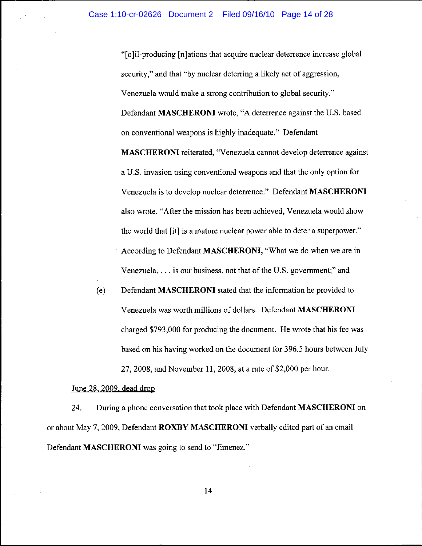"[0 lil-producing [n lations that acquire nuclear deterrence increase global security," and that "by nuclear deterring a likely act of aggression, Venezuela would make a strong contribution to global security." Defendant **MASCHERONI** wrote, "A deterrence against the U.S. based on conventional weapons is highly inadequate." Defendant

**MASCHERONI** reiterated, "Venezuela cannot develop deterrence against a U.S. invasion using conventional weapons and that the only option for Venezuela is to develop nuclear deterrence." Defendant **MASCHERONI**  also wrote, "After the mission has been achieved, Venezuela would show the world that [itl is a mature nuclear power able to deter a superpower." According to Defendant **MASCHERONI,** "What we do when we are in Venezuela, ... is our business, not that of the U.S. government;" and

(e) Defendant **MASCHERONI** stated that the information he provided to Venezuela was worth millions of dollars. Defendant **MASCHERONI**  charged \$793,000 for producing the document. He wrote that his fee was based on his having worked on the document for 396.5 hours between July 27,2008, and November 11, 2008, at a rate of \$2,000 per hour.

### June 28, 2009. dead drop

24. During a phone conversation that took place with Defendant **MASCHERONI** on or about May 7, 2009, Defendant **ROXBY MASCHERONI** verbally edited part of an email Defendant **MASCHERONI** was going to send to "Jimenez."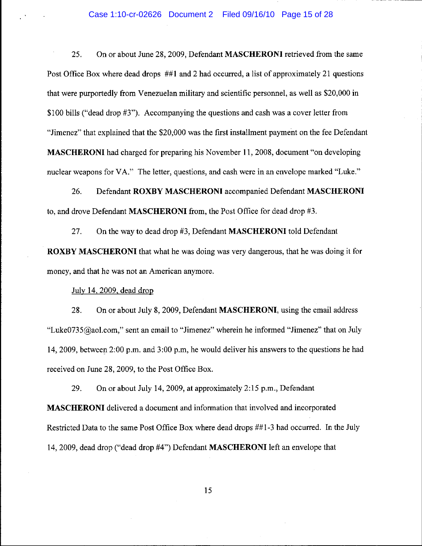25. On or about June 28, 2009, Defendant **MASCHERONI** retrieved from the same Post Office Box where dead drops ##1 and 2 had occurred, a list of approximately 21 questions that were purportedly from Venezuelan military and scientific personnel, as well as \$20,000 in \$100 bills ("dead drop #3"). Accompanying the questions and cash was a cover letter from "Jimenez" that explained that the \$20,000 was the first installment payment on the fee Defendant **MASCHERONI** had charged for preparing his November **11,2008,** document "on developing nuclear weapons for VA." The letter, questions, and cash were in an envelope marked "Luke."

26. Defendant **ROXBY MASCHERONI** accompanied Defendant **MASCHERONI**  to, and drove Defendant **MASCHERONI** from, the Post Office for dead drop #3.

27. On the way to dead drop #3, Defendant **MASCHERONI** told Defendant **ROXBY MASCHERONI** that what he was doing was very dangerous, that he was doing it for money, and that he was not an American anymore.

### July **14,2009,** dead drop

28, On or about July 8, 2009, Defendant **MASCHERONI,** using the email address "Luke0735@aol.com," sent an email to "Jimenez" wherein he informed "Jimenez" that on July **14,2009,** between 2:00 p.m. and 3:00 p.m, he would deliver his answers to the questions he had received on June 28, 2009, to the Post Office Box.

29. On or about July **14,** 2009, at approximately 2:15 p.m., Defendant **MASCHERONI** delivered a document and information that involved and incorporated Restricted Data to the same Post Office Box where dead drops ##1-3 had occurred. In the July **14,2009,** dead drop ("dead drop #4") Defendant **MASCHERONI** left an envelope that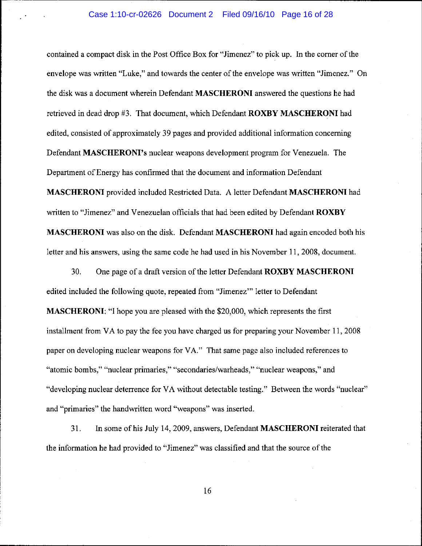## Case 1:10-cr-02626 Document 2 Filed 09/16/10 Page 16 of 28

contained a compact disk in the Post Office Box for "Jimenez" to pick up. In the corner of the envelope was written "Luke," and towards the center of the envelope was written "Jimenez." On the disk was a document wherein Defendant **MASCHERONI** answered the questions he had retrieved in dead drop #3. That document, which Defendant **ROXBY MASCHERONI** had edited, consisted of approximately 39 pages and provided additional information concerning Defendant **MASCHERONl's** nuclear weapons development program for Venezuela. The Department of Energy has confirmed that the document and information Defendant **MASCHERONI** provided included Restricted Data. A letter Defendant **MASCHERONI** had written to "Jimenez" and Venezuelan officials that had been edited by Defendant **ROXBY MASCHERONI** was also on the disk. Defendant **MASCHERONI** had again encoded both his letter and his answers, using the same code he had used in his November 11, 2008, document.

30. One page of a draft version ofthe letter Defendant **ROXBY MASCHERONI**  edited included the following quote, repeated from "Jimenez'" letter to Defendant **MASCHERONI:** "I hope you are pleased with the \$20,000, which represents the first installment from VA to pay the fee you have charged us for preparing your November 11, 2008 paper on developing nuclear weapons for VA." That same page also included references to "atomic bombs," "nuclear primaries," "secondaries/warheads," "nuclear weapons," and "developing nuclear deterrence for VA without detectable testing." Between the words "nuclear" and "primaries" the handwritten word "weapons" was inserted.

31. In some of his July 14,2009, answers, Defendant **MASCHERONI** reiterated that the information he had provided to "Jimenez" was classified and that the source of the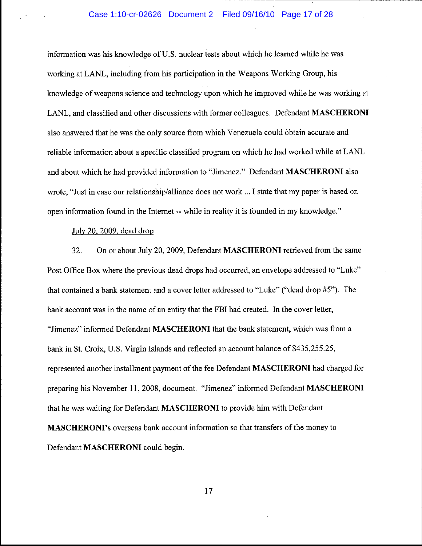information was his knowledge of U.S. nuclear tests about which he learned while he was working at LANL, including from his participation in the Weapons Working Group, his knowledge of weapons science and technology upon which he improved while he was working at LANL, and classified and other discussions with fonner colleagues. Defendant **MASCHERONI**  also answered that he was the only source from which Venezuela could obtain accurate and reliable information about a specific classified program on which he had worked while at LANL and about which he had provided infonnation to "Jimenez." Defendant **MASCHERONI** also wrote, "Just in case our relationship/alliance does not work ... I state that my paper is based on open infonnation found in the Internet **--** while in reality it is founded in my knowledge."

### July 20, 2009, dead drop

32. On or about July 20, 2009, Defendant **MASCHERONI** retrieved from the same Post Office Box where the previous dead drops had occurred, an envelope addressed to "Luke" that contained a bank statement and a cover letter addressed to "Luke" ("dead drop #5"). The bank account was in the name of an entity that the FBI had created. **In** the cover letter, "Jimenez" informed Defendant MASCHERONI that the bank statement, which was from a bank in St. Croix, U.S. Virgin Islands and reflected an account balance of \$435,255.25, represented another installment payment of the fee Defendant **MASCHERONI** had charged for preparing his November 11, 2008, document. "Jimenez" infonned Defendant **MASCHERONI**  that he was waiting for Defendant **MASCHERONI** to provide him with Defendant MASCHERONI's overseas bank account information so that transfers of the money to Defendant **MASCHERONI** could begin.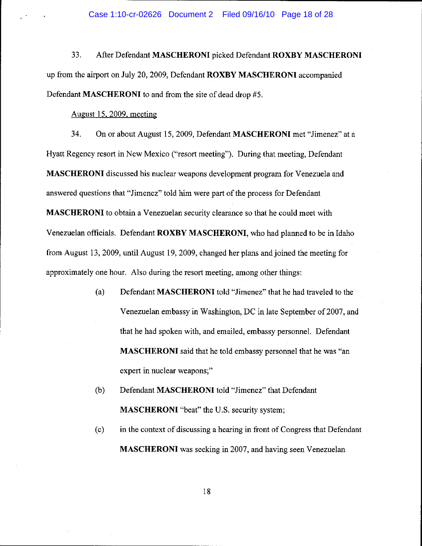33. After Defendant **MASCHERONI** picked Defendant **ROXBY MASCHERONI**  up from the airport on July 20, 2009, Defendant **ROXBY MASCHERONI** accompanied Defendant **MASCHERONI** to and from the site of dead drop #5.

## August 15.2009. meeting

34. **On** or about August 15,2009, Defendant **MASCHERONI** met "Jimenez" at a Hyatt Regency resort in New Mexico ("resort meeting"). During that meeting, Defendant **MASCHERONI** discussed his nuclear weapons development program for Venezuela and answered questions that "Jimenez" told him were part of the process for Defendant **MASCHERONI** to obtain a Venezuelan security clearance so that he could meet with Venezuelan officials. Defendant **ROXBY MASCHERONI,** who had planned to be in Idaho from August 13, 2009, until August 19,2009, changed her plans and joined the meeting for approximately one hour. Also during the resort meeting, among other things:

- (a) Defendant **MASCHERONI** told "Jimenez" that he had traveled to the Venezuelan embassy in Washington, DC in late September of 2007, and that he had spoken with, and emailed, embassy personnel. Defendant **MASCHERONI** said that he told embassy personnel that he was "an expert in nuclear weapons;"
- (b) Defendant **MASCHERONI** told "Jimenez" that Defendant **MASCHERONI** "beat" the U.S. security system;
- (c) in the context of discussing a hearing in front of Congress that Defendant **MASCHERONI** was seeking in 2007, and having seen Venezuelan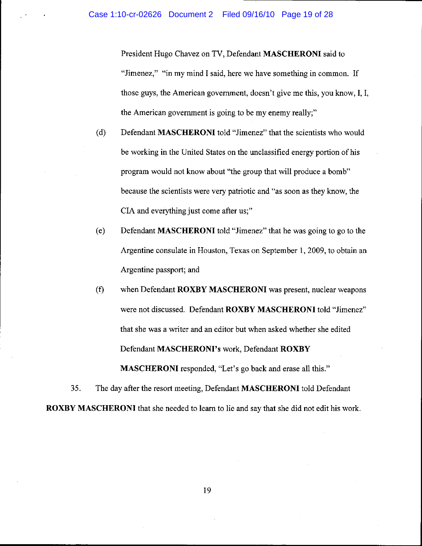President Hugo Chavez on TV, Defendant **MASCHERONI** said to "Jimenez," "in my mind I said, here we have something in common. If those guys, the American government, doesn't give me this, you know, I, I, the American government is going to be my enemy really;"

- (d) Defendant **MASCHERONI** told "Jimenez" that the scientists who would be working in the United States on the unclassified energy portion of his program would not know about "the group that will produce a bomb" because the scientists were very patriotic and "as soon as they know, the CIA and everything just come after us;"
- (e) Defendant **MASCHERONI** told "Jimenez" that he was going to go to the Argentine consulate in Houston, Texas on September 1,2009, to obtain an Argentine passport; and
- (f) when Defendant **ROXBY MASCHERONI** was present, nuclear weapons were not discussed. Defendant **ROXBY MASCHERONI** told "Jimenez" that she was a writer and an editor but when asked whether she edited Defendant **MASCHERONl's** work, Defendant **ROXBY MASCHERONI** responded, "Let's go back and erase all this."

35. The day after the resort meeting, Defendant **MASCHERONI** told Defendant **ROXBY MASCHERONI** that she needed to learn to lie and say that she did not edit his work.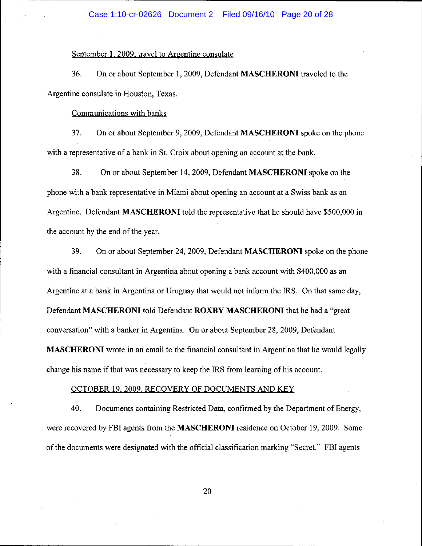# September 1. 2009. travel to Argentine consulate

36. On or about September 1,2009, Defendant **MASCHERONI** traveled to the Argentine consulate in Houston, Texas.

#### Communications with banks

37. On or about September 9, 2009, Defendant **MASCHERONI** spoke on the phone with a representative of a bank in St. Croix about opening an account at the bank.

38. On or about September 14,2009, Defendant **MASCHERONI** spoke on the phone with a bank representative in Miami about opening an account at a Swiss bank as an Argentine. Defendant **MASCHERONI** told the representative that he should have \$500,000 in the account by the end of the year.

39. On or about September 24, 2009, Defendant **MASCHERONI** spoke on the phone with a financial consultant in Argentina about opening a bank account with \$400,000 as an Argentine at a bank in Argentina or Uruguay that would not inform the IRS. On that same day, Defendant **MASCHERONI** told Defendant **ROXBY MASCHERONI** that he had a "great conversation" with a banker in Argentina. On or about September 28, 2009, Defendant **MASCHERONI** wrote in an email to the financial consultant in Argentina that he would legally change his name if that was necessary to keep the IRS from learning of his account.

## OCTOBER 19. 2009. RECOVERY OF DOCUMENTS AND KEY

40. Documents containing Restricted Data, confirmed by the Department of Energy, were recovered by FBI agents from the **MASCHERONI** residence on October 19, 2009. Some of the documents were designated with the official classification marking "Secret." FBI agents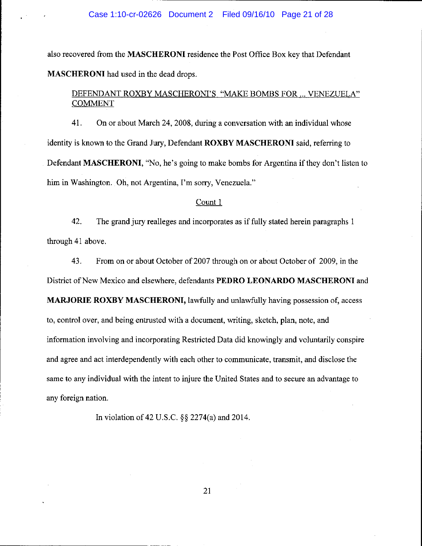also recovered from the **MASCHERONI** residence the Post Office Box key that Defendant **MASCHERONI** had used in the dead drops.

# DEFENDANT ROXBY MASCHERONI'S "MAKE BOMBS FOR ... VENEZUELA" **COMMENT**

41. On or about March 24, 2008, during a conversation with an individual whose identity is known to the Grand Jury, Defendant **ROXBY MASCHERONI** said, referring to Defendant **MASCHERONI**, "No, he's going to make bombs for Argentina if they don't listen to him in Washington. Oh, not Argentina, I'm sorry, Venezuela."

## Count I

42. The grand jury realleges and incorporates as if fully stated herein paragraphs I through 41 above.

43. From on or about October of 2007 through on or about October of 2009, in the District of New Mexico and elsewhere, defendants **PEDRO LEONARDO MASCHERONI and** 

**MARJORIE ROXBY MASCHERONI,** lawfully and unlawfully having possession of, access to, control over, and being entrusted with a document, writing, sketch, plan, note, and information involving and incorporating Restricted Data did knowingly and voluntarily conspire and agree and act interdependently with each other to communicate, transmit, and disclose the same to any individual with the intent to injure the United States and to secure an advantage to any foreign nation.

In violation of 42 U.S.C. §§ 2274(a) and 2014.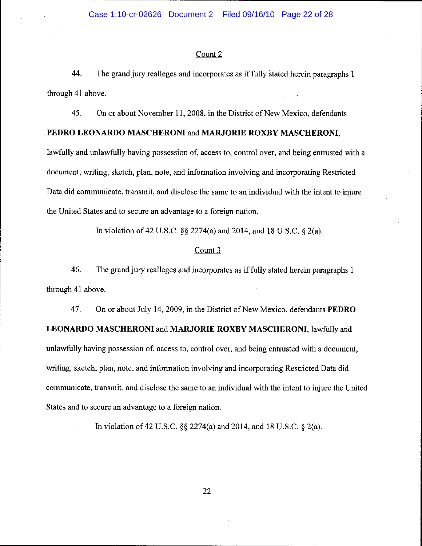## Count 2

44. The grand jury realleges and incorporates as if fully stated herein paragraphs 1 through 41 above.

45. On or about November 11,2008, in the District of New Mexico, defendants

# **PEDRO LEONARDO MASCHERONI and MARJORIE ROXBY MASCHERONI,**

lawfully and unlawfully having possession of, access to, control over, and being entrusted with a document, writing, sketch, plan, note, and information involving and incorporating Restricted Data did communicate, transmit, and disclose the same to an individual with the intent to injure the United States and to secure an advantage to a foreign nation.

In violation of 42 U.S.C. §§ 2274(a) and 2014, and 18 U.S.C. § 2(a).

# Count 3

46. The grand jury realleges and incorporates as if fully stated herein paragraphs 1 through 41 above.

47. On or about July 14,2009, in the District of New Mexico, defendants **PEDRO LEONARDO MASCHERONI and MARJORIE ROXBY MASCHERONI,** lawfully and unlawfully having possession of, access to, control over, and being entrusted with a document, writing, sketch, plan, note, and information involving and incorporating Restricted Data did communicate, transmit, and disclose the same to an individual with the intent to injure the United States and to secure an advantage to a foreign nation.

In violation of 42 U.S.C. §§ 2274(a) and 2014, and 18 U.S.C. § 2(a).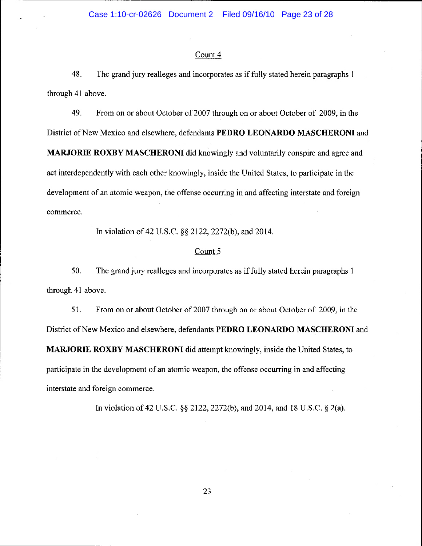## Count 4

48. The grand jury realleges and incorporates as if fully stated herein paragraphs I through 41 above.

49. From on or about October of 2007 through on or about October of 2009, in the District of New Mexico and elsewhere, defendants **PEDRO LEONARDO MASCHERONI** and

**MARJORIE ROXBY MASCHERONI** did knowingly and voluntarily conspire and agree and act interdependently with each other knowingly, inside the United States, to participate in the development of an atomic weapon, the offense occurring in and affecting interstate and foreign commerce.

In violation of 42 U.S.C. §§ 2122, 2272(b), and 2014.

#### Count 5

50. The grand jury realleges and incorporates as if fully stated herein paragraphs I through 41 above.

51. From on or about October of 2007 through on or about October of 2009, in the District of New Mexico and elsewhere, defendants **PEDRO LEONARDO MASCHERONI** and **MARJORIE ROXBY MASCHERONI** did attempt knowingly, inside the United States, to

participate in the development of an atomic weapon, the offense occurring in and affecting interstate and foreign commerce.

In violation of 42 U.S.C. §§ 2122, 2272(b), and 2014, and 18 U.S.C. § 2(a).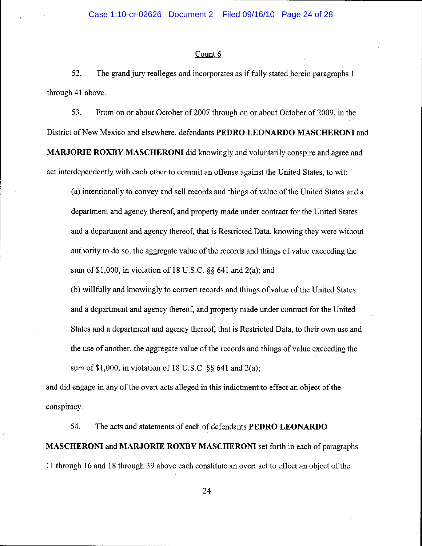## Count 6

52. The grand jury realleges and incorporates as if fully stated herein paragraphs 1 through 41 above.

53. From on or about October of 2007 through on or about October of 2009, in the District of New Mexico and elsewhere, defendants **PEDRO LEONARDO MASCHERONI** and **MARJORIE ROXBY MASCHERONI** did knowingly and voluntarily conspire and agree and act interdependently with each other to commit an offense against the United States, to wit:

(a) intentionally to convey and sell records and things of value of the United States and a department and agency thereof, and property made under contract for the United States and a department and agency thereof, that is Restricted Data, knowing they were without authority to do so, the aggregate value of the records and things of value exceeding the sum of \$1,000, in violation of 18 U.S.C.  $\S$ § 641 and 2(a); and

(b) willfully and knowingly to convert records and things of value ofthe United States and a department and agency thereof, and property made under contract for the United States and a department and agency thereof, that is Restricted Data, to their own use and the use of another, the aggregate value of the records and things of value exceeding the sum of \$1,000, in violation of 18 U.S.C.  $\S$ § 641 and 2(a);

and did engage in any of the overt acts alleged in this indictment to effect an object of the conspiracy.

54. The acts and statements of each of defendants **PEDRO LEONARDO MASCHERONI and MARJORIE ROXBY MASCHERONI** set forth in each of paragraphs 11 through 16 and 18 through 39 above each constitute an overt act to effect an object of the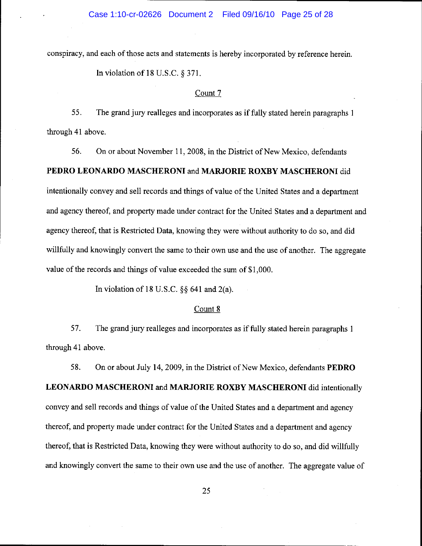conspiracy, and each of those acts and statements is hereby incorporated by reference herein.

In violation of 18 U.S.C. § 371.

#### Count 7

55. The grand jury realleges and incorporates as if fully stated herein paragraphs 1 through 41 above.

56. On or about November 11, 2008, in the District of New Mexico, defendants **PEDRO LEONARDO MASCHERONI and MARJORIE ROXBY MASCHERONI** did intentionally convey and sell records and things of value of the United States and a department and agency thereof, and property made under contract for the United States and a department and agency thereof, that is Restricted Data, knowing they were without authority to do so, and did willfully and knowingly convert the same to their own use and the use of another. The aggregate value of the records and things of value exceeded the sum of\$I,OOO.

In violation of 18 U.S.C.  $\S$ § 641 and 2(a).

## Count 8

57. The grand jury realleges and incorporates as if fully stated herein paragraphs 1 through 41 above.

58. On or about July 14, 2009, in the District of New Mexico, defendants **PEDRO LEONARDO MASCHERONI and MARJORIE ROXBY MASCHERONI** did intentionally convey and sell records and things of value of the United States and a department and agency thereof, and property made under contract for the United States and a department and agency thereof, that is Restricted Data, knowing they were without authority to do so, and did willfully and knowingly convert the same to their own use and the use of another. The aggregate value of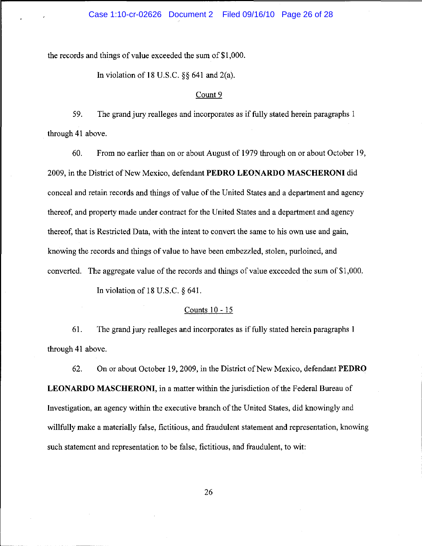the records and things of value exceeded the sum of\$I,OOO.

In violation of 18 U.S.C.  $\S$ § 641 and 2(a).

#### Count 9

59. The grand jury realleges and incorporates as if fully stated herein paragraphs I through 41 above.

60. From no earlier than on or about August of 1979 through on or about October 19, 2009, in the District of New Mexico, defendant **PEDRO LEONARDO MASCHERONI** did conceal and retain records and things of value of the United States and a department and agency thereof, and property made under contract for the United States and a department and agency thereof, that is Restricted Data, with the intent to convert the same to his own use and gain, knowing the records and things of value to have been embezzled, stolen, purloined, and converted. The aggregate value of the records and things of value exceeded the sum of\$I,OOO.

In violation of 18 U.S.C. § 641.

### Counts 10 - 15

61. The grand jury realleges and incorporates as if fully stated herein paragraphs I through 41 above.

62. On or about October 19,2009, in the District of New Mexico, defendant **PEDRO LEONARDO MASCHERONI,** in a matter within the jurisdiction of the Federal Bureau of Investigation, an agency within the executive branch of the United States, did knowingly and willfully make a materially false, fictitious, and fraudulent statement and representation, knowing such statement and representation to be false, fictitious, and fraudulent, to wit: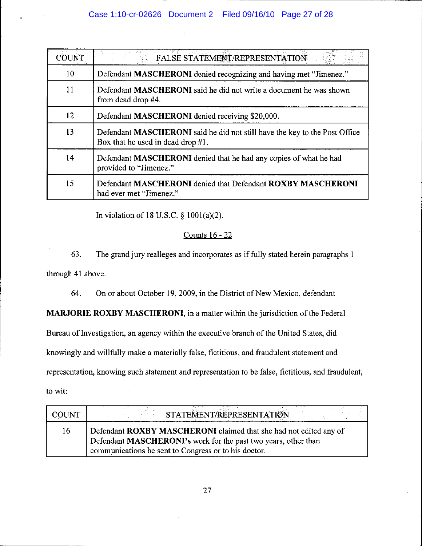| COUNT | <b>FALSE STATEMENT/REPRESENTATION</b>                                                                              |
|-------|--------------------------------------------------------------------------------------------------------------------|
| 10    | Defendant MASCHERONI denied recognizing and having met "Jimenez."                                                  |
| 11    | Defendant MASCHERONI said he did not write a document he was shown<br>from dead drop #4.                           |
| 12    | Defendant MASCHERONI denied receiving \$20,000.                                                                    |
| 13    | Defendant MASCHERONI said he did not still have the key to the Post Office<br>Box that he used in dead drop $#1$ . |
| 14    | Defendant MASCHERONI denied that he had any copies of what he had<br>provided to "Jimenez."                        |
| 15    | Defendant MASCHERONI denied that Defendant ROXBY MASCHERONI<br>had ever met "Jimenez."                             |

In violation of 18 U.S.C. § 1001(a)(2).

# Counts 16 - 22

63. The grand jury realleges and incorporates as if fully stated herein paragraphs 1 through 41 above.

64. On or about October 19, 2009, in the District of New Mexico, defendant

**MARJORIE ROXBY MASCHERONI,** in a matter within the jurisdiction of the Federal

Bureau of Investigation, an agency within the executive branch of the United States, did

knowingly and willfully make a materially false, fictitious, and fraudulent statement and

representation, knowing such statement and representation to be false, fictitious, and fraudulent,

to wit:

| <b>COUNT</b> | STATEMENT/REPRESENTATION                                                                                                                                                                    |
|--------------|---------------------------------------------------------------------------------------------------------------------------------------------------------------------------------------------|
| 16           | Defendant ROXBY MASCHERONI claimed that she had not edited any of<br>Defendant MASCHERONI's work for the past two years, other than<br>communications he sent to Congress or to his doctor. |